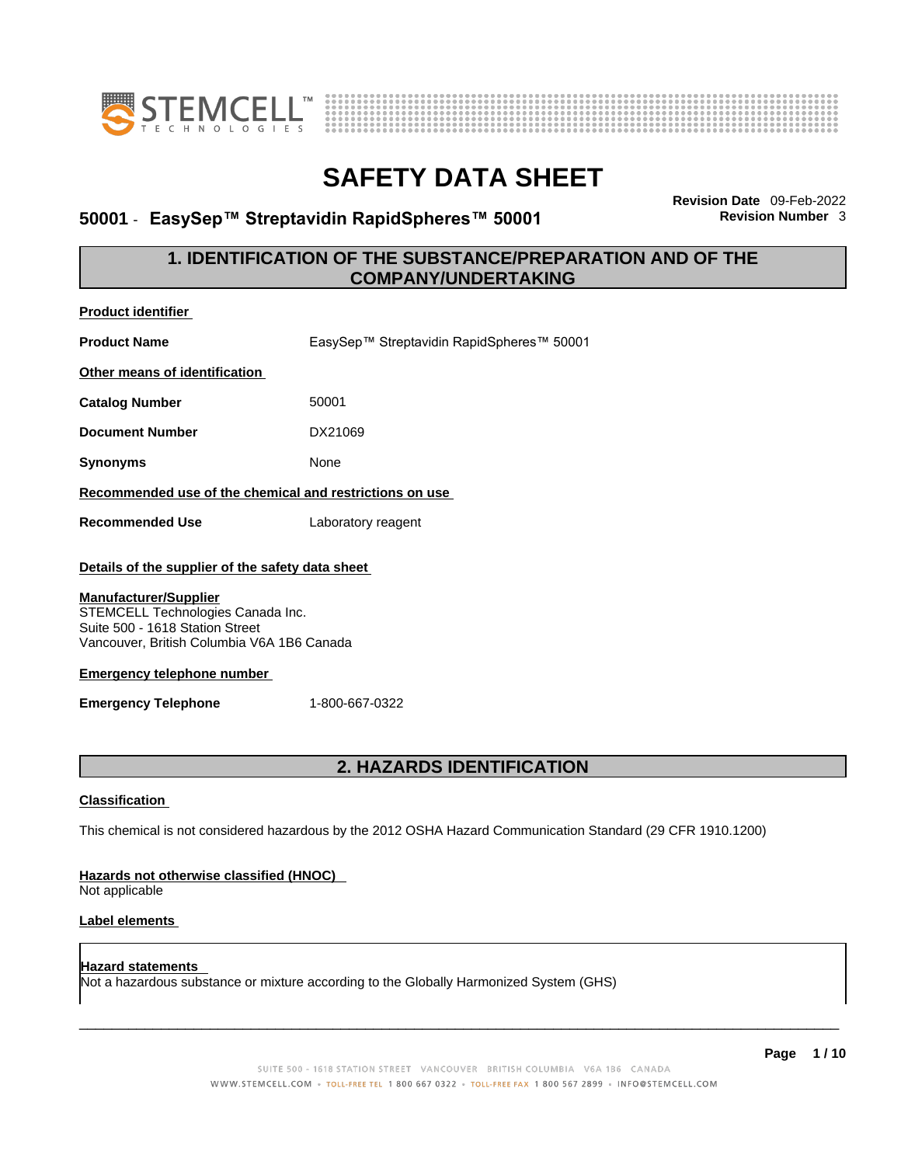



# **50001 · EasySep™ Streptavidin RapidSpheres™ 50001**

**Revision Date** 09-Feb-2022

## **1. IDENTIFICATION OF THE SUBSTANCE/PREPARATION AND OF THE COMPANY/UNDERTAKING**

| <b>Product identifier</b>                                                                                                                                                                                                                                                 |                                                                                                             |  |  |  |
|---------------------------------------------------------------------------------------------------------------------------------------------------------------------------------------------------------------------------------------------------------------------------|-------------------------------------------------------------------------------------------------------------|--|--|--|
| EasySep™ Streptavidin RapidSpheres™ 50001<br><b>Product Name</b>                                                                                                                                                                                                          |                                                                                                             |  |  |  |
| Other means of identification                                                                                                                                                                                                                                             |                                                                                                             |  |  |  |
| <b>Catalog Number</b>                                                                                                                                                                                                                                                     | 50001                                                                                                       |  |  |  |
| <b>Document Number</b>                                                                                                                                                                                                                                                    | DX21069                                                                                                     |  |  |  |
| <b>Synonyms</b>                                                                                                                                                                                                                                                           | None                                                                                                        |  |  |  |
|                                                                                                                                                                                                                                                                           | Recommended use of the chemical and restrictions on use                                                     |  |  |  |
| <b>Recommended Use</b>                                                                                                                                                                                                                                                    | Laboratory reagent                                                                                          |  |  |  |
| Details of the supplier of the safety data sheet<br><b>Manufacturer/Supplier</b><br>STEMCELL Technologies Canada Inc.<br>Suite 500 - 1618 Station Street<br>Vancouver, British Columbia V6A 1B6 Canada<br><b>Emergency telephone number</b><br><b>Emergency Telephone</b> | 1-800-667-0322                                                                                              |  |  |  |
|                                                                                                                                                                                                                                                                           | 2. HAZARDS IDENTIFICATION                                                                                   |  |  |  |
| <b>Classification</b>                                                                                                                                                                                                                                                     |                                                                                                             |  |  |  |
|                                                                                                                                                                                                                                                                           | This chemical is not considered hazardous by the 2012 OSHA Hazard Communication Standard (29 CFR 1910.1200) |  |  |  |
| Hazards not otherwise classified (HNOC)<br>Not applicable                                                                                                                                                                                                                 |                                                                                                             |  |  |  |
| <b>Label elements</b>                                                                                                                                                                                                                                                     |                                                                                                             |  |  |  |
| Hazard statements                                                                                                                                                                                                                                                         | Not a hazardous substance or mixture according to the Globally Harmonized System (GHS)                      |  |  |  |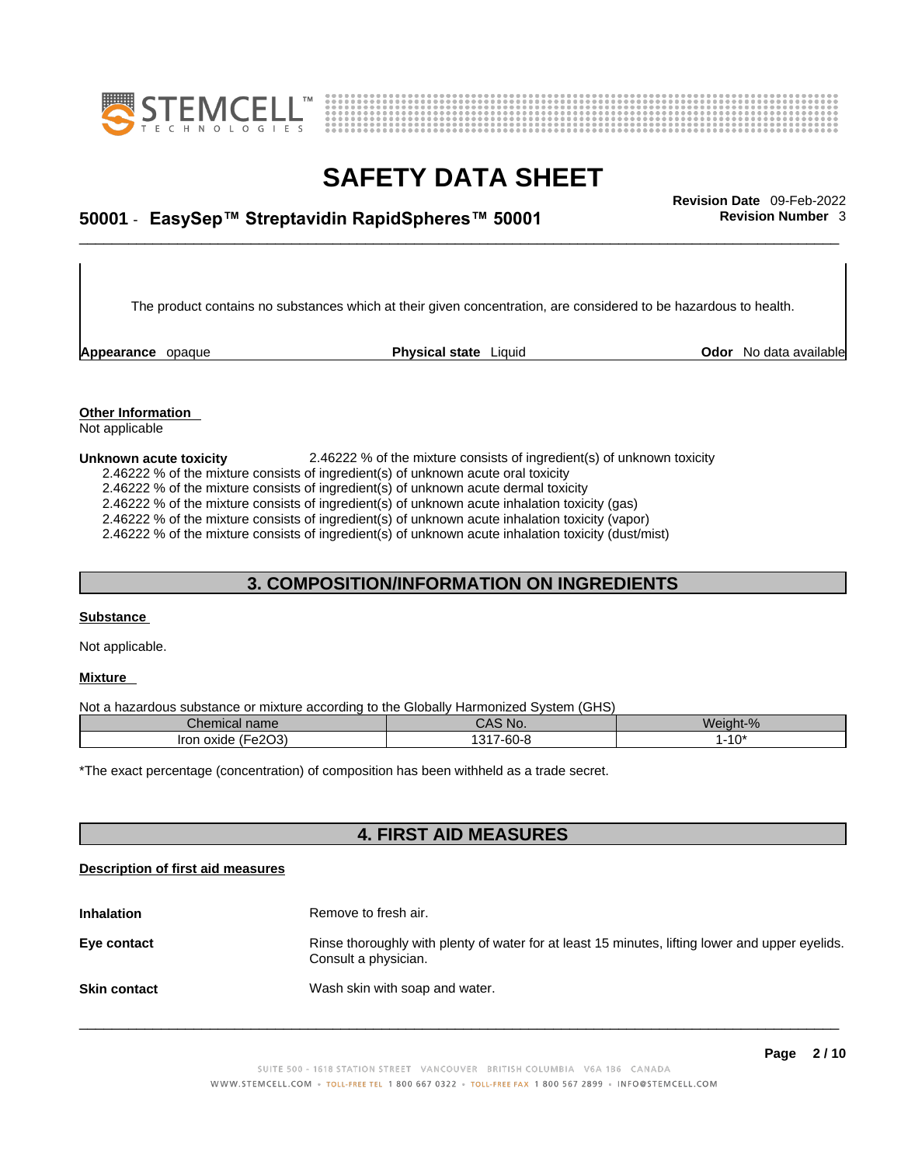



# \_\_\_\_\_\_\_\_\_\_\_\_\_\_\_\_\_\_\_\_\_\_\_\_\_\_\_\_\_\_\_\_\_\_\_\_\_\_\_\_\_\_\_\_\_\_\_\_\_\_\_\_\_\_\_\_\_\_\_\_\_\_\_\_\_\_\_\_\_\_\_\_\_\_\_\_\_\_\_\_\_\_\_\_\_\_\_\_\_\_\_\_\_ **Revision Date** 09-Feb-2022 **50001** - **EasySep™ Streptavidin RapidSpheres™ 50001 Revision Number** 3

The product contains no substances which at their given concentration, are considered to be hazardous to health.

**Appearance** opaque **Physical state** Liquid **Odor** No data available

**Other Information**  Not applicable

#### **Unknown acute toxicity** 2.46222 % of the mixture consists of ingredient(s) of unknown toxicity

2.46222 % of the mixture consists of ingredient(s) of unknown acute oral toxicity

2.46222 % of the mixture consists of ingredient(s) of unknown acute dermal toxicity

2.46222 % of the mixture consists of ingredient(s) of unknown acute inhalation toxicity (gas)

2.46222 % of the mixture consists of ingredient(s) of unknown acute inhalation toxicity (vapor)

2.46222 % of the mixture consists of ingredient(s) of unknown acute inhalation toxicity (dust/mist)

### **3. COMPOSITION/INFORMATION ON INGREDIENTS**

#### **Substance**

Not applicable.

#### **Mixture**

Not a hazardous substance or mixture according to the Globally Harmonized System (GHS)

| Chemical name                                                       | CAS No.                               | Weight-%      |
|---------------------------------------------------------------------|---------------------------------------|---------------|
| (E <sub>0</sub> 2O <sub>3</sub> )<br><b>Iron</b><br>oxide<br>-ezuji | $\sim$<br>047<br>7-60-i<br>. ت<br>. . | -1∩*<br>- ا ب |

\*The exact percentage (concentration) of composition has been withheld as a trade secret.

### **4. FIRST AID MEASURES**

#### **Description of first aid measures**

| <b>Inhalation</b>   | Remove to fresh air.                                                                                                    |
|---------------------|-------------------------------------------------------------------------------------------------------------------------|
| Eye contact         | Rinse thoroughly with plenty of water for at least 15 minutes, lifting lower and upper eyelids.<br>Consult a physician. |
| <b>Skin contact</b> | Wash skin with soap and water.                                                                                          |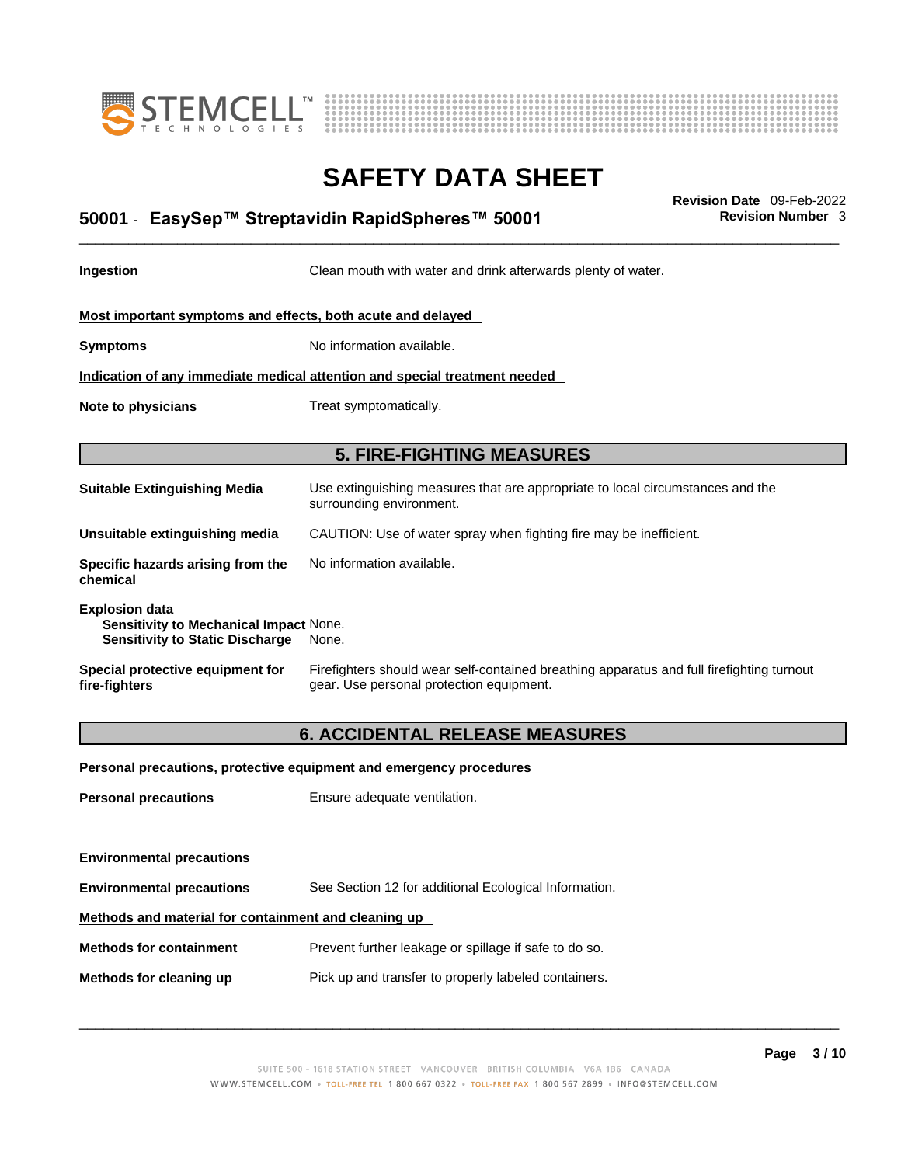



# \_\_\_\_\_\_\_\_\_\_\_\_\_\_\_\_\_\_\_\_\_\_\_\_\_\_\_\_\_\_\_\_\_\_\_\_\_\_\_\_\_\_\_\_\_\_\_\_\_\_\_\_\_\_\_\_\_\_\_\_\_\_\_\_\_\_\_\_\_\_\_\_\_\_\_\_\_\_\_\_\_\_\_\_\_\_\_\_\_\_\_\_\_ **Revision Date** 09-Feb-2022 **50001** - **EasySep™ Streptavidin RapidSpheres™ 50001 Revision Number** 3

**Ingestion Clean mouth with water and drink afterwards plenty of water.** 

**Most important symptoms and effects, both acute and delayed**

**Symptoms** No information available.

**Indication of any immediate medical attention and special treatment needed**

**Note to physicians** Treat symptomatically.

### **5. FIRE-FIGHTING MEASURES**

| <b>Suitable Extinguishing Media</b>                                                                              | Use extinguishing measures that are appropriate to local circumstances and the<br>surrounding environment. |
|------------------------------------------------------------------------------------------------------------------|------------------------------------------------------------------------------------------------------------|
| Unsuitable extinguishing media                                                                                   | CAUTION: Use of water spray when fighting fire may be inefficient.                                         |
| Specific hazards arising from the<br>chemical                                                                    | No information available.                                                                                  |
| <b>Explosion data</b><br><b>Sensitivity to Mechanical Impact None.</b><br><b>Sensitivity to Static Discharge</b> | None.                                                                                                      |

#### **Special protective equipment for fire-fighters** Firefighters should wear self-contained breathing apparatus and full firefighting turnout gear. Use personal protection equipment.

### **6. ACCIDENTAL RELEASE MEASURES**

**Personal precautions, protective equipment and emergency procedures**

**Personal precautions** Ensure adequate ventilation.

**Environmental precautions** 

**Environmental precautions** See Section 12 for additional Ecological Information.

#### **Methods and material for containment and cleaning up**

**Methods for containment** Prevent further leakage or spillage if safe to do so.

**Methods for cleaning up** Pick up and transfer to properly labeled containers.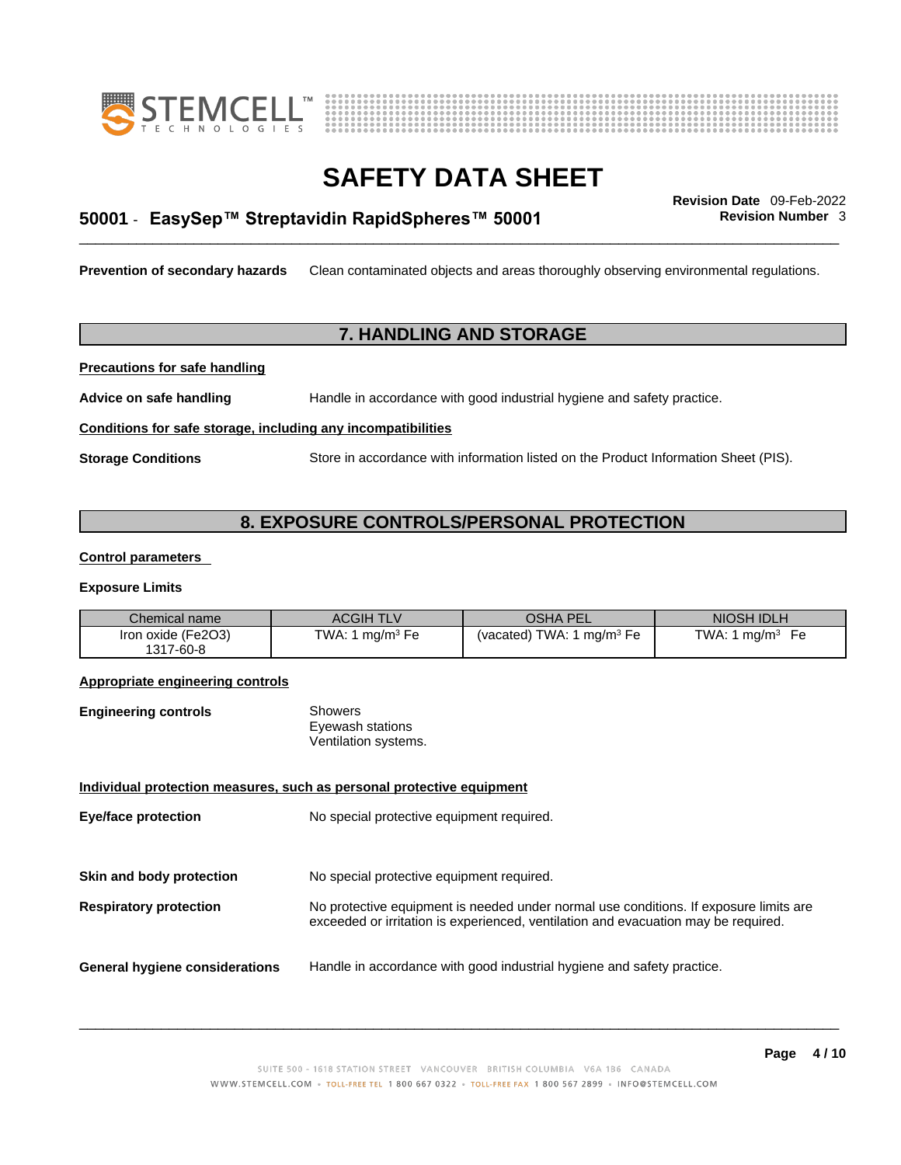



# \_\_\_\_\_\_\_\_\_\_\_\_\_\_\_\_\_\_\_\_\_\_\_\_\_\_\_\_\_\_\_\_\_\_\_\_\_\_\_\_\_\_\_\_\_\_\_\_\_\_\_\_\_\_\_\_\_\_\_\_\_\_\_\_\_\_\_\_\_\_\_\_\_\_\_\_\_\_\_\_\_\_\_\_\_\_\_\_\_\_\_\_\_ **Revision Date** 09-Feb-2022 **50001** - **EasySep™ Streptavidin RapidSpheres™ 50001 Revision Number** 3

**Prevention of secondary hazards** Clean contaminated objects and areas thoroughly observing environmental regulations.

### **7. HANDLING AND STORAGE**

**Precautions for safe handling**

**Advice on safe handling** Handle in accordance with good industrial hygiene and safety practice.

#### **Conditions for safe storage, including any incompatibilities**

**Storage Conditions** Store in accordance with information listed on the Product Information Sheet (PIS).

### **8. EXPOSURE CONTROLS/PERSONAL PROTECTION**

#### **Control parameters**

#### **Exposure Limits**

| Chemical name      | <b>ACGIH TLV</b>      | <b>OSHA PEL</b>             | NIOSH IDLH                         |
|--------------------|-----------------------|-----------------------------|------------------------------------|
| Iron oxide (Fe2O3) | $ma/m3$ Fe<br>TWA: 1. | (vacated) TWA: 1 $mq/m3$ Fe | TWA: 1.<br>ma/m <sup>3</sup><br>Fе |
| 1317-60-8          |                       |                             |                                    |

#### **Appropriate engineering controls**

| <b>Engineering controls</b> | Showers              |  |
|-----------------------------|----------------------|--|
|                             | Eyewash stations     |  |
|                             | Ventilation systems. |  |

#### **Individual protection measures, such as personal protective equipment**

| <b>Eye/face protection</b>            | No special protective equipment required.                                                                                                                                   |
|---------------------------------------|-----------------------------------------------------------------------------------------------------------------------------------------------------------------------------|
| Skin and body protection              | No special protective equipment required.                                                                                                                                   |
| <b>Respiratory protection</b>         | No protective equipment is needed under normal use conditions. If exposure limits are<br>exceeded or irritation is experienced, ventilation and evacuation may be required. |
| <b>General hygiene considerations</b> | Handle in accordance with good industrial hygiene and safety practice.                                                                                                      |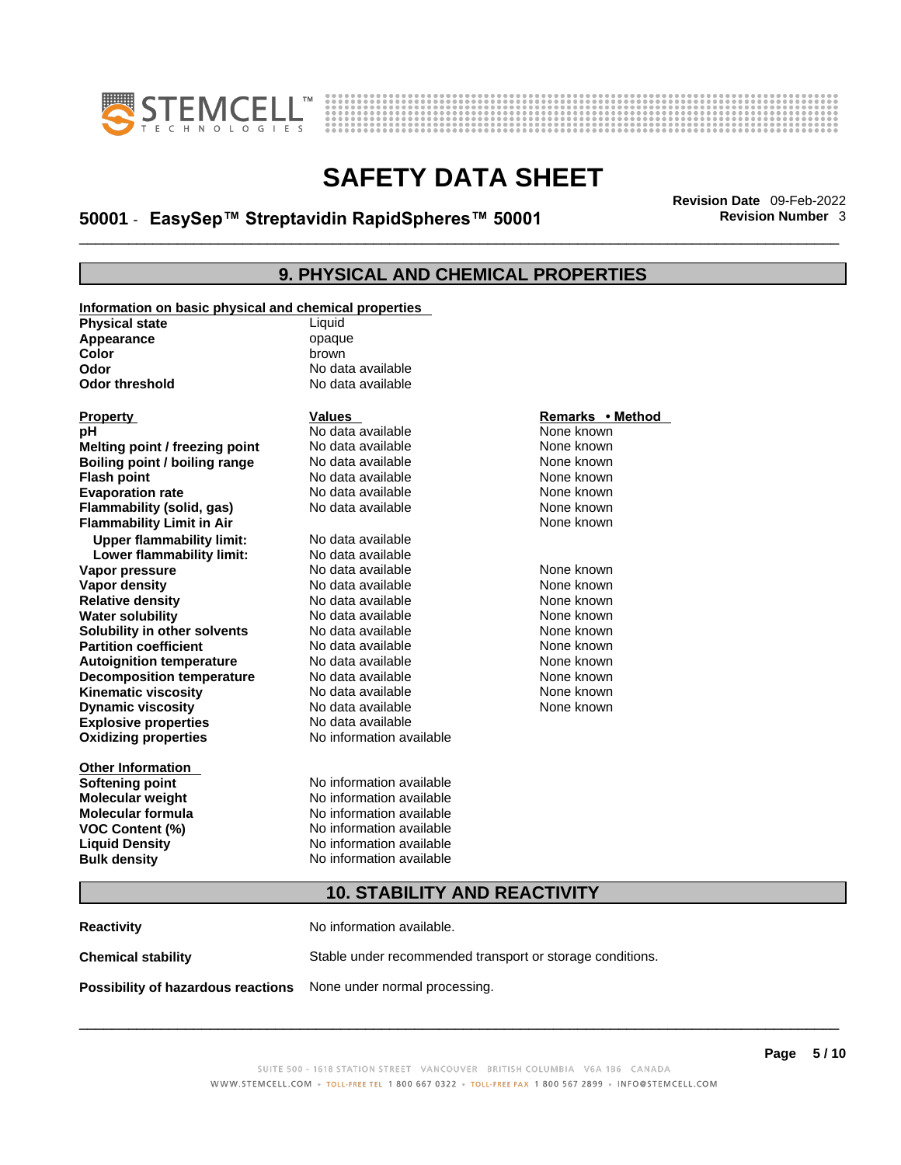



# \_\_\_\_\_\_\_\_\_\_\_\_\_\_\_\_\_\_\_\_\_\_\_\_\_\_\_\_\_\_\_\_\_\_\_\_\_\_\_\_\_\_\_\_\_\_\_\_\_\_\_\_\_\_\_\_\_\_\_\_\_\_\_\_\_\_\_\_\_\_\_\_\_\_\_\_\_\_\_\_\_\_\_\_\_\_\_\_\_\_\_\_\_ **Revision Date** 09-Feb-2022 **50001** - **EasySep™ Streptavidin RapidSpheres™ 50001 Revision Number** 3

## **9. PHYSICAL AND CHEMICAL PROPERTIES**

| Information on basic physical and chemical properties |                                     |                  |  |
|-------------------------------------------------------|-------------------------------------|------------------|--|
| <b>Physical state</b>                                 | Liquid                              |                  |  |
| Appearance                                            | opaque                              |                  |  |
| Color                                                 | brown                               |                  |  |
| Odor                                                  | No data available                   |                  |  |
| <b>Odor threshold</b>                                 | No data available                   |                  |  |
|                                                       |                                     |                  |  |
| <b>Property</b>                                       | <b>Values</b>                       | Remarks • Method |  |
| pН                                                    | No data available                   | None known       |  |
| Melting point / freezing point                        | No data available                   | None known       |  |
| Boiling point / boiling range                         | No data available                   | None known       |  |
| <b>Flash point</b>                                    | No data available                   | None known       |  |
| <b>Evaporation rate</b>                               | No data available                   | None known       |  |
| Flammability (solid, gas)                             | No data available                   | None known       |  |
| <b>Flammability Limit in Air</b>                      |                                     | None known       |  |
| <b>Upper flammability limit:</b>                      | No data available                   |                  |  |
| Lower flammability limit:                             | No data available                   |                  |  |
| Vapor pressure                                        | No data available                   | None known       |  |
| Vapor density                                         | No data available                   | None known       |  |
| <b>Relative density</b>                               | No data available                   | None known       |  |
| <b>Water solubility</b>                               | No data available                   | None known       |  |
| Solubility in other solvents                          | No data available                   | None known       |  |
| <b>Partition coefficient</b>                          | No data available                   | None known       |  |
| <b>Autoignition temperature</b>                       | No data available                   | None known       |  |
| <b>Decomposition temperature</b>                      | No data available                   | None known       |  |
| <b>Kinematic viscosity</b>                            | No data available                   | None known       |  |
| <b>Dynamic viscosity</b>                              | No data available                   | None known       |  |
| <b>Explosive properties</b>                           | No data available                   |                  |  |
| <b>Oxidizing properties</b>                           | No information available            |                  |  |
|                                                       |                                     |                  |  |
| <b>Other Information</b>                              |                                     |                  |  |
| <b>Softening point</b>                                | No information available            |                  |  |
| <b>Molecular weight</b>                               | No information available            |                  |  |
| <b>Molecular formula</b>                              | No information available            |                  |  |
| <b>VOC Content (%)</b>                                | No information available            |                  |  |
| <b>Liquid Density</b>                                 | No information available            |                  |  |
| <b>Bulk density</b>                                   | No information available            |                  |  |
|                                                       | <b>10. STABILITY AND REACTIVITY</b> |                  |  |
|                                                       |                                     |                  |  |
| <b>Reactivity</b>                                     | No information available.           |                  |  |
|                                                       |                                     |                  |  |

**Chemical stability** Stable under recommended transport or storage conditions.

**Possibility of hazardous reactions** None under normal processing.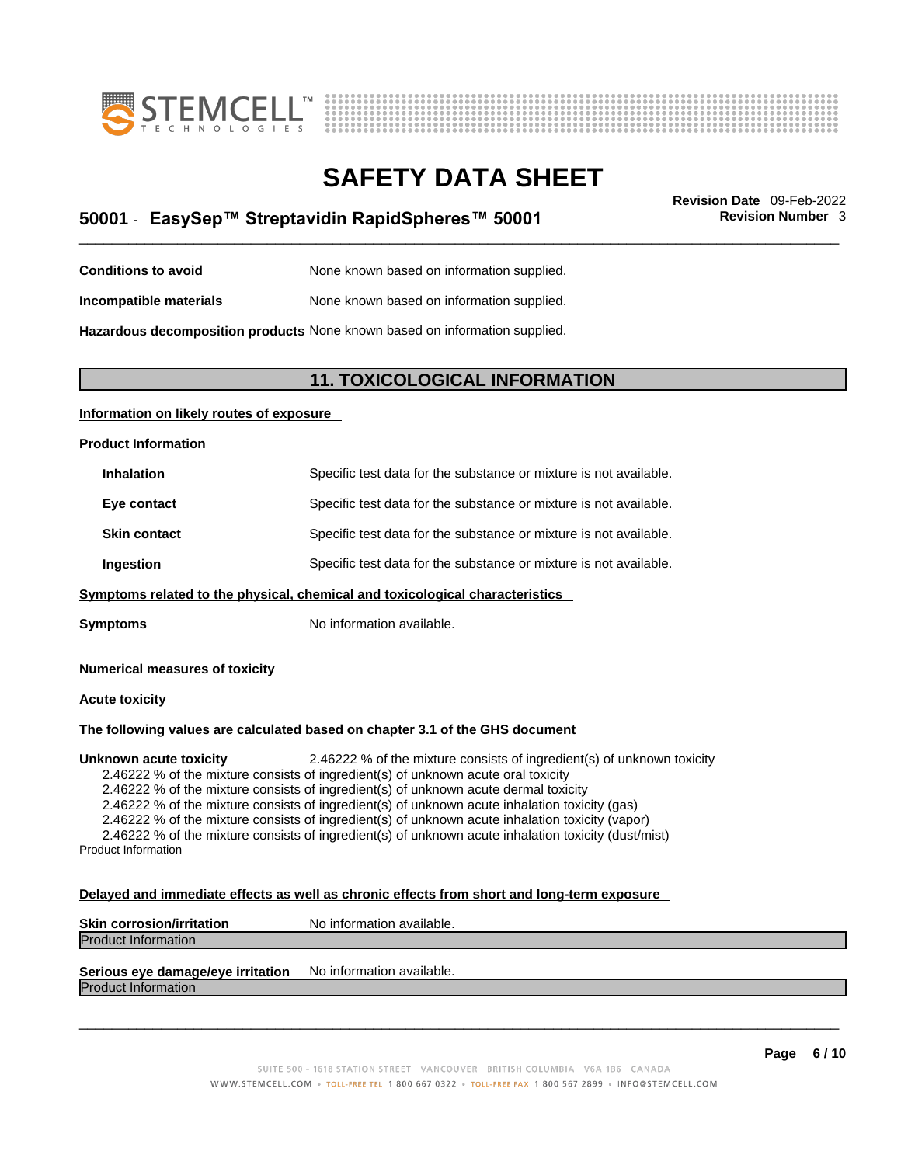



# \_\_\_\_\_\_\_\_\_\_\_\_\_\_\_\_\_\_\_\_\_\_\_\_\_\_\_\_\_\_\_\_\_\_\_\_\_\_\_\_\_\_\_\_\_\_\_\_\_\_\_\_\_\_\_\_\_\_\_\_\_\_\_\_\_\_\_\_\_\_\_\_\_\_\_\_\_\_\_\_\_\_\_\_\_\_\_\_\_\_\_\_\_ **Revision Date** 09-Feb-2022 **50001** - **EasySep™ Streptavidin RapidSpheres™ 50001 Revision Number** 3

| <b>Conditions to avoid</b> | None known based on information supplied. |
|----------------------------|-------------------------------------------|
|----------------------------|-------------------------------------------|

**Incompatible materials** None known based on information supplied.

**Hazardous decomposition products** None known based on information supplied.

### **11. TOXICOLOGICAL INFORMATION**

#### **Information on likely routes of exposure**

#### **Product Information**

| <b>Inhalation</b>   | Specific test data for the substance or mixture is not available. |
|---------------------|-------------------------------------------------------------------|
| Eye contact         | Specific test data for the substance or mixture is not available. |
| <b>Skin contact</b> | Specific test data for the substance or mixture is not available. |
| Ingestion           | Specific test data for the substance or mixture is not available. |

**Symptoms** related to the physical, chemical and toxicological characteristics

**Symptoms** No information available.

#### **Numerical measures of toxicity**

#### **Acute toxicity**

#### **The following values are calculated based on chapter 3.1 of the GHS document**

**Unknown acute toxicity** 2.46222 % of the mixture consists of ingredient(s) of unknown toxicity

2.46222 % of the mixture consists of ingredient(s) of unknown acute oral toxicity

2.46222 % of the mixture consists of ingredient(s) of unknown acute dermal toxicity

2.46222 % of the mixture consists of ingredient(s) of unknown acute inhalation toxicity (gas)

2.46222 % of the mixture consists of ingredient(s) of unknown acute inhalation toxicity (vapor)

2.46222 % of the mixture consists of ingredient(s) of unknown acute inhalation toxicity (dust/mist) Product Information

#### **Delayed and immediate effects as well as chronic effects from short and long-term exposure**

| <b>Skin corrosion/irritation</b> | No information available. |
|----------------------------------|---------------------------|
| <b>Product Information</b>       |                           |
|                                  |                           |

## **Serious eye damage/eye irritation** No information available.

Product Information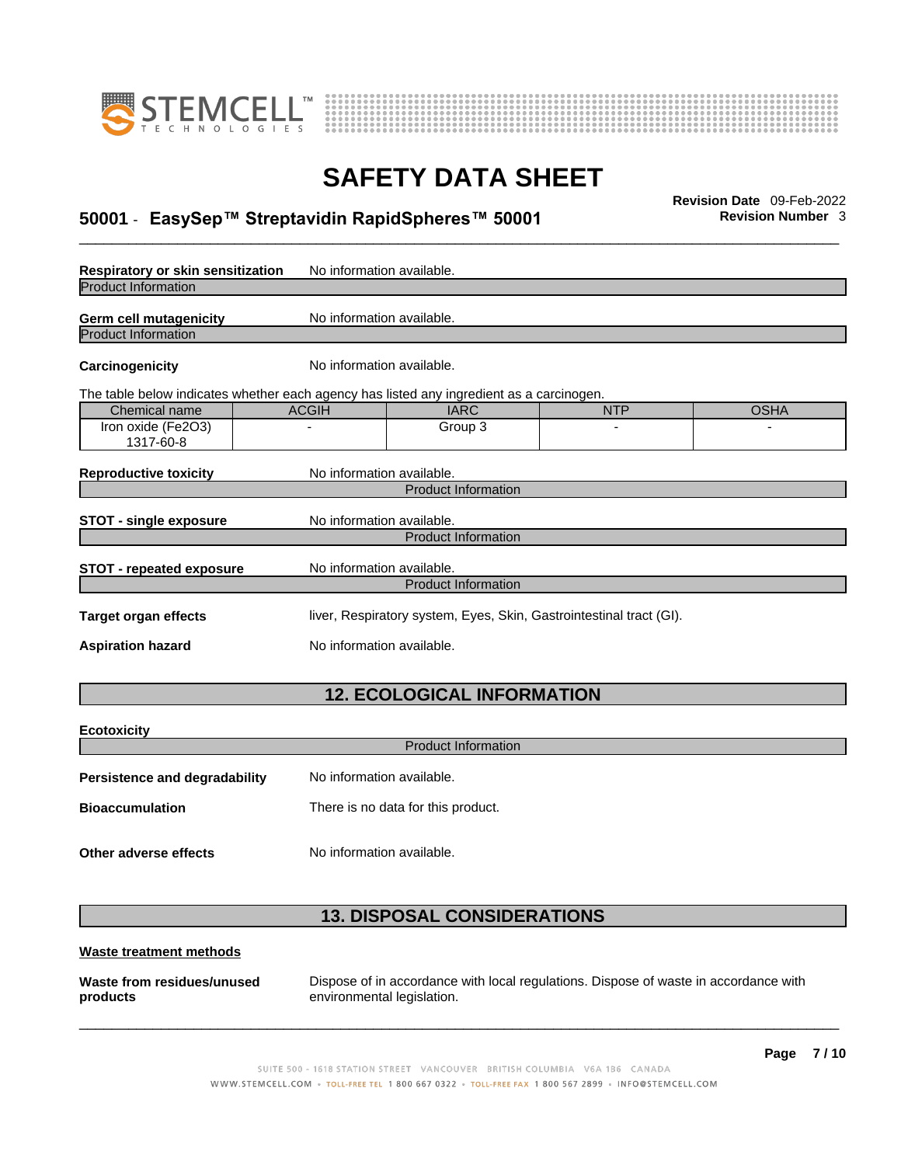



# \_\_\_\_\_\_\_\_\_\_\_\_\_\_\_\_\_\_\_\_\_\_\_\_\_\_\_\_\_\_\_\_\_\_\_\_\_\_\_\_\_\_\_\_\_\_\_\_\_\_\_\_\_\_\_\_\_\_\_\_\_\_\_\_\_\_\_\_\_\_\_\_\_\_\_\_\_\_\_\_\_\_\_\_\_\_\_\_\_\_\_\_\_ **Revision Date** 09-Feb-2022 **50001** - **EasySep™ Streptavidin RapidSpheres™ 50001 Revision Number** 3

| Respiratory or skin sensitization                                                        | No information available.                                           |                                   |            |             |
|------------------------------------------------------------------------------------------|---------------------------------------------------------------------|-----------------------------------|------------|-------------|
| <b>Product Information</b>                                                               |                                                                     |                                   |            |             |
| <b>Germ cell mutagenicity</b>                                                            | No information available.                                           |                                   |            |             |
| <b>Product Information</b>                                                               |                                                                     |                                   |            |             |
| Carcinogenicity                                                                          | No information available.                                           |                                   |            |             |
| The table below indicates whether each agency has listed any ingredient as a carcinogen. |                                                                     |                                   |            |             |
| Chemical name                                                                            | <b>ACGIH</b>                                                        | <b>IARC</b>                       | <b>NTP</b> | <b>OSHA</b> |
| Iron oxide (Fe2O3)<br>1317-60-8                                                          |                                                                     | Group 3                           |            |             |
| <b>Reproductive toxicity</b>                                                             | No information available.                                           |                                   |            |             |
|                                                                                          |                                                                     | <b>Product Information</b>        |            |             |
| <b>STOT - single exposure</b>                                                            | No information available.                                           |                                   |            |             |
|                                                                                          |                                                                     | <b>Product Information</b>        |            |             |
| <b>STOT - repeated exposure</b>                                                          | No information available.                                           |                                   |            |             |
|                                                                                          |                                                                     | <b>Product Information</b>        |            |             |
| <b>Target organ effects</b>                                                              | liver, Respiratory system, Eyes, Skin, Gastrointestinal tract (GI). |                                   |            |             |
| <b>Aspiration hazard</b>                                                                 | No information available.                                           |                                   |            |             |
|                                                                                          |                                                                     | <b>12. ECOLOGICAL INFORMATION</b> |            |             |
|                                                                                          |                                                                     |                                   |            |             |
| <b>Ecotoxicity</b>                                                                       |                                                                     |                                   |            |             |
|                                                                                          |                                                                     | <b>Product Information</b>        |            |             |
| Develotonee end desvedekility -                                                          | والماجان مربوب ويستحقق والمراجعة                                    |                                   |            |             |

| <b>FUSISIBLICE AIRE UP A DISPOSED</b> | <u>INU IHIUHHAUUH AVAIIADIE.</u>   |
|---------------------------------------|------------------------------------|
| <b>Bioaccumulation</b>                | There is no data for this product. |

**Other adverse effects** No information available.

### **13. DISPOSAL CONSIDERATIONS**

#### **Waste treatment methods**

**Waste from residues/unused products** 

Dispose of in accordance with local regulations. Dispose of waste in accordance with environmental legislation.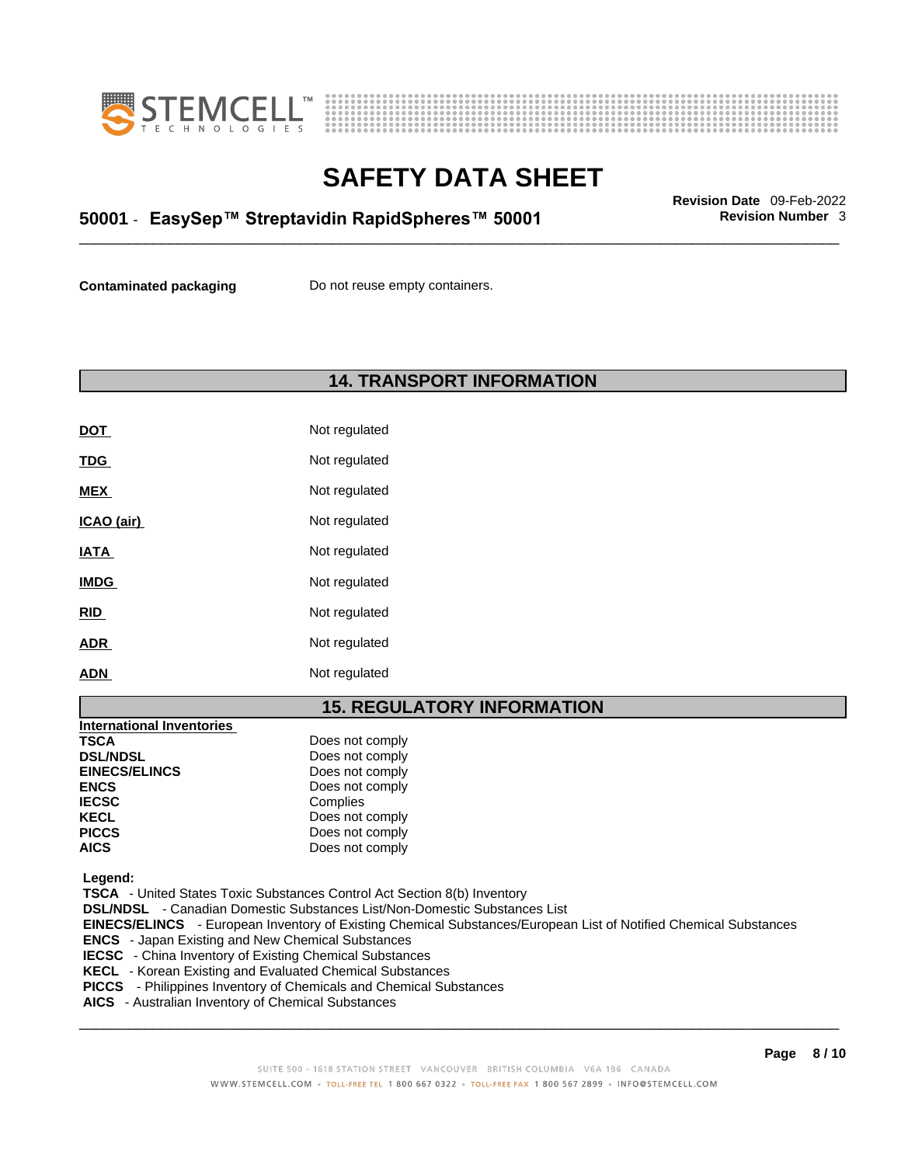



# \_\_\_\_\_\_\_\_\_\_\_\_\_\_\_\_\_\_\_\_\_\_\_\_\_\_\_\_\_\_\_\_\_\_\_\_\_\_\_\_\_\_\_\_\_\_\_\_\_\_\_\_\_\_\_\_\_\_\_\_\_\_\_\_\_\_\_\_\_\_\_\_\_\_\_\_\_\_\_\_\_\_\_\_\_\_\_\_\_\_\_\_\_ **Revision Date** 09-Feb-2022 **50001** - **EasySep™ Streptavidin RapidSpheres™ 50001 Revision Number** 3

**Contaminated packaging** Do not reuse empty containers.

### **14. TRANSPORT INFORMATION**

| <u>DOT</u>  | Not regulated |
|-------------|---------------|
| <u>TDG</u>  | Not regulated |
| <b>MEX</b>  | Not regulated |
| ICAO (air)  | Not regulated |
| <b>IATA</b> | Not regulated |
| <b>IMDG</b> | Not regulated |
| <b>RID</b>  | Not regulated |
| <b>ADR</b>  | Not regulated |
| <b>ADN</b>  | Not regulated |

### **15. REGULATORY INFORMATION**

| Does not comply |
|-----------------|
| Does not comply |
| Does not comply |
| Does not comply |
| Complies        |
| Does not comply |
| Does not comply |
| Does not comply |
|                 |

 **Legend:** 

 **TSCA** - United States Toxic Substances Control Act Section 8(b) Inventory

 **DSL/NDSL** - Canadian Domestic Substances List/Non-Domestic Substances List

 **EINECS/ELINCS** - European Inventory of Existing Chemical Substances/European List of Notified Chemical Substances

 **ENCS** - Japan Existing and New Chemical Substances

 **IECSC** - China Inventory of Existing Chemical Substances

 **KECL** - Korean Existing and Evaluated Chemical Substances

 **PICCS** - Philippines Inventory of Chemicals and Chemical Substances

 **AICS** - Australian Inventory of Chemical Substances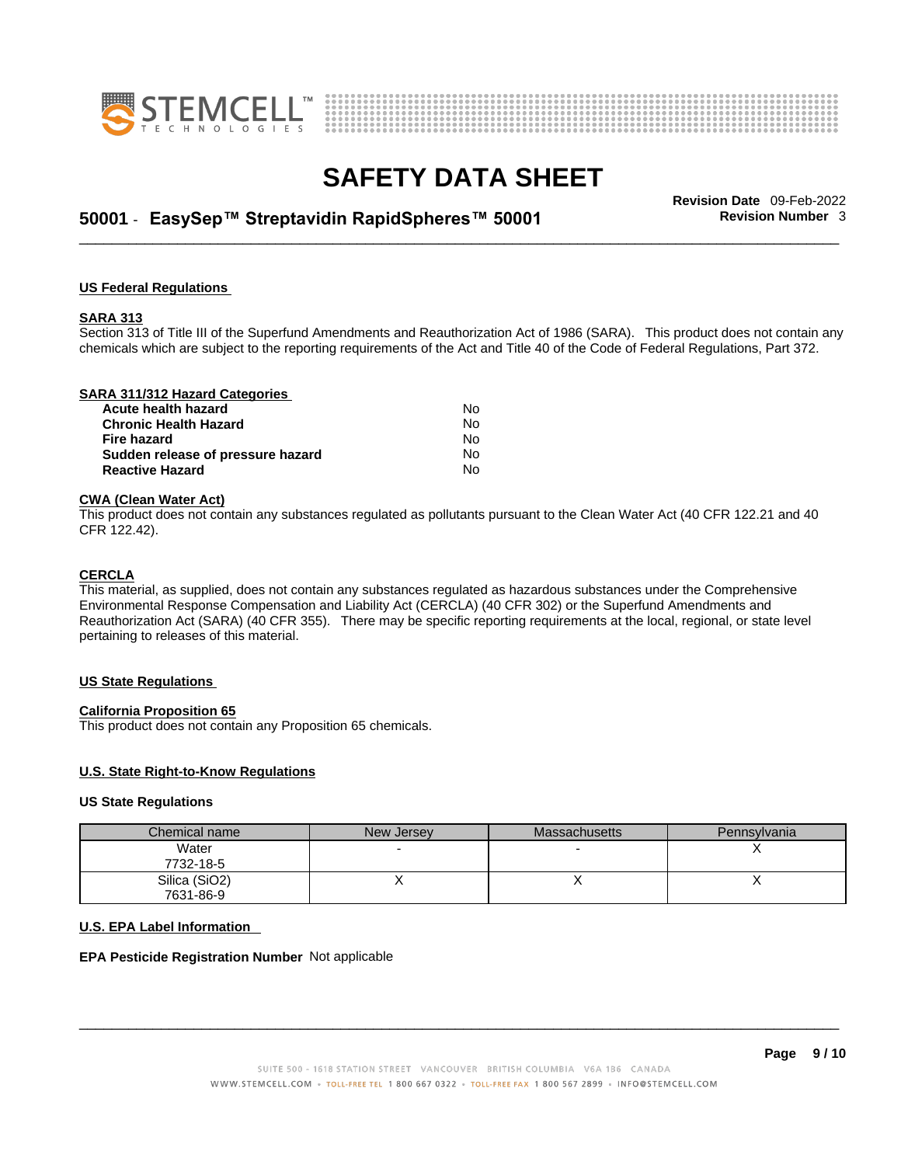



# \_\_\_\_\_\_\_\_\_\_\_\_\_\_\_\_\_\_\_\_\_\_\_\_\_\_\_\_\_\_\_\_\_\_\_\_\_\_\_\_\_\_\_\_\_\_\_\_\_\_\_\_\_\_\_\_\_\_\_\_\_\_\_\_\_\_\_\_\_\_\_\_\_\_\_\_\_\_\_\_\_\_\_\_\_\_\_\_\_\_\_\_\_ **Revision Date** 09-Feb-2022 **50001** - **EasySep™ Streptavidin RapidSpheres™ 50001 Revision Number** 3

#### **US Federal Regulations**

#### **SARA 313**

Section 313 of Title III of the Superfund Amendments and Reauthorization Act of 1986 (SARA). This product does not contain any chemicals which are subject to the reporting requirements of the Act and Title 40 of the Code of Federal Regulations, Part 372.

| SARA 311/312 Hazard Categories    |    |  |
|-----------------------------------|----|--|
| Acute health hazard               | No |  |
| <b>Chronic Health Hazard</b>      | No |  |
| Fire hazard                       | No |  |
| Sudden release of pressure hazard | Nο |  |
| <b>Reactive Hazard</b>            | No |  |

#### **CWA (Clean WaterAct)**

This product does not contain any substances regulated as pollutants pursuant to the Clean Water Act (40 CFR 122.21 and 40 CFR 122.42).

#### **CERCLA**

This material, as supplied, does not contain any substances regulated as hazardous substances under the Comprehensive Environmental Response Compensation and Liability Act (CERCLA) (40 CFR 302) or the Superfund Amendments and Reauthorization Act (SARA) (40 CFR 355). There may be specific reporting requirements at the local, regional, or state level pertaining to releases of this material.

#### **US State Regulations**

#### **California Proposition 65**

This product does not contain any Proposition 65 chemicals.

#### **U.S. State Right-to-Know Regulations**

#### **US State Regulations**

| Chemical name | New Jersey | <b>Massachusetts</b> | Pennsylvania |
|---------------|------------|----------------------|--------------|
| Water         |            |                      |              |
| 7732-18-5     |            |                      |              |
| Silica (SiO2) |            |                      |              |
| 7631-86-9     |            |                      |              |

#### **U.S. EPA Label Information**

#### **EPA Pesticide Registration Number** Not applicable